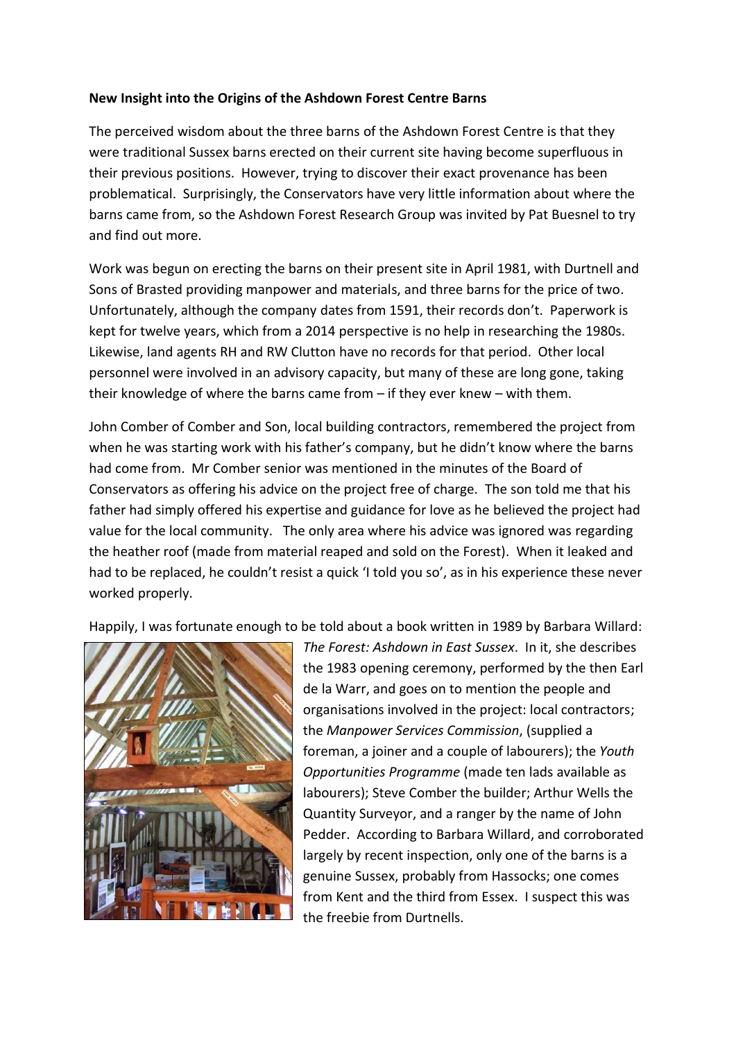## **New Insight into the Origins of the Ashdown Forest Centre Barns**

The perceived wisdom about the three barns of the Ashdown Forest Centre is that they were traditional Sussex barns erected on their current site having become superfluous in their previous positions. However, trying to discover their exact provenance has been problematical. Surprisingly, the Conservators have very little information about where the barns came from, so the Ashdown Forest Research Group was invited by Pat Buesnel to try and find out more.

Work was begun on erecting the barns on their present site in April 1981, with Durtnell and Sons of Brasted providing manpower and materials, and three barns for the price of two. Unfortunately, although the company dates from 1591, their records don't. Paperwork is kept for twelve years, which from a 2014 perspective is no help in researching the 1980s. Likewise, land agents RH and RW Clutton have no records for that period. Other local personnel were involved in an advisory capacity, but many of these are long gone, taking their knowledge of where the barns came from – if they ever knew – with them.

John Comber of Comber and Son, local building contractors, remembered the project from when he was starting work with his father's company, but he didn't know where the barns had come from. Mr Comber senior was mentioned in the minutes of the Board of Conservators as offering his advice on the project free of charge. The son told me that his father had simply offered his expertise and guidance for love as he believed the project had value for the local community. The only area where his advice was ignored was regarding the heather roof (made from material reaped and sold on the Forest). When it leaked and had to be replaced, he couldn't resist a quick 'I told you so', as in his experience these never worked properly.

Happily, I was fortunate enough to be told about a book written in 1989 by Barbara Willard:



*The Forest: Ashdown in East Sussex*. In it, she describes the 1983 opening ceremony, performed by the then Earl de la Warr, and goes on to mention the people and organisations involved in the project: local contractors; the *Manpower Services Commission*, (supplied a foreman, a joiner and a couple of labourers); the *Youth Opportunities Programme* (made ten lads available as labourers); Steve Comber the builder; Arthur Wells the Quantity Surveyor, and a ranger by the name of John Pedder. According to Barbara Willard, and corroborated largely by recent inspection, only one of the barns is a genuine Sussex, probably from Hassocks; one comes from Kent and the third from Essex. I suspect this was the freebie from Durtnells.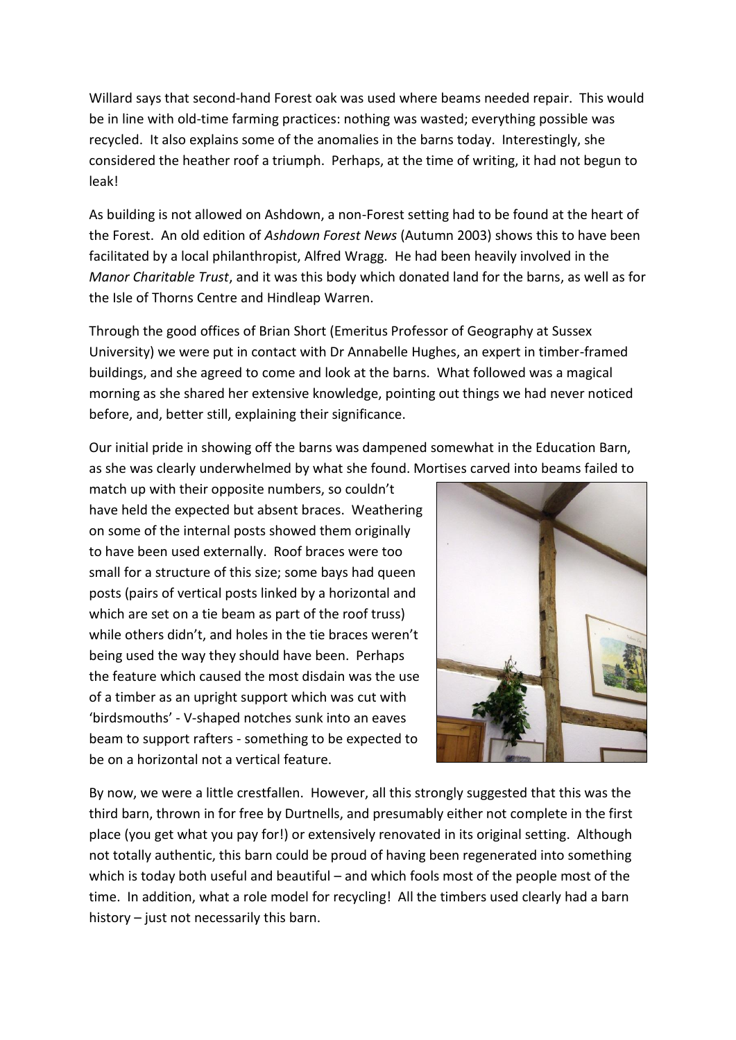Willard says that second-hand Forest oak was used where beams needed repair. This would be in line with old-time farming practices: nothing was wasted; everything possible was recycled. It also explains some of the anomalies in the barns today. Interestingly, she considered the heather roof a triumph. Perhaps, at the time of writing, it had not begun to leak!

As building is not allowed on Ashdown, a non-Forest setting had to be found at the heart of the Forest. An old edition of *Ashdown Forest News* (Autumn 2003) shows this to have been facilitated by a local philanthropist, Alfred Wragg. He had been heavily involved in the *Manor Charitable Trust*, and it was this body which donated land for the barns, as well as for the Isle of Thorns Centre and Hindleap Warren.

Through the good offices of Brian Short (Emeritus Professor of Geography at Sussex University) we were put in contact with Dr Annabelle Hughes, an expert in timber-framed buildings, and she agreed to come and look at the barns. What followed was a magical morning as she shared her extensive knowledge, pointing out things we had never noticed before, and, better still, explaining their significance.

Our initial pride in showing off the barns was dampened somewhat in the Education Barn, as she was clearly underwhelmed by what she found. Mortises carved into beams failed to

match up with their opposite numbers, so couldn't have held the expected but absent braces. Weathering on some of the internal posts showed them originally to have been used externally. Roof braces were too small for a structure of this size; some bays had queen posts (pairs of vertical posts linked by a horizontal and which are set on a tie beam as part of the roof truss) while others didn't, and holes in the tie braces weren't being used the way they should have been. Perhaps the feature which caused the most disdain was the use of a timber as an upright support which was cut with 'birdsmouths' - V-shaped notches sunk into an eaves beam to support rafters - something to be expected to be on a horizontal not a vertical feature.



By now, we were a little crestfallen. However, all this strongly suggested that this was the third barn, thrown in for free by Durtnells, and presumably either not complete in the first place (you get what you pay for!) or extensively renovated in its original setting. Although not totally authentic, this barn could be proud of having been regenerated into something which is today both useful and beautiful – and which fools most of the people most of the time. In addition, what a role model for recycling! All the timbers used clearly had a barn history – just not necessarily this barn.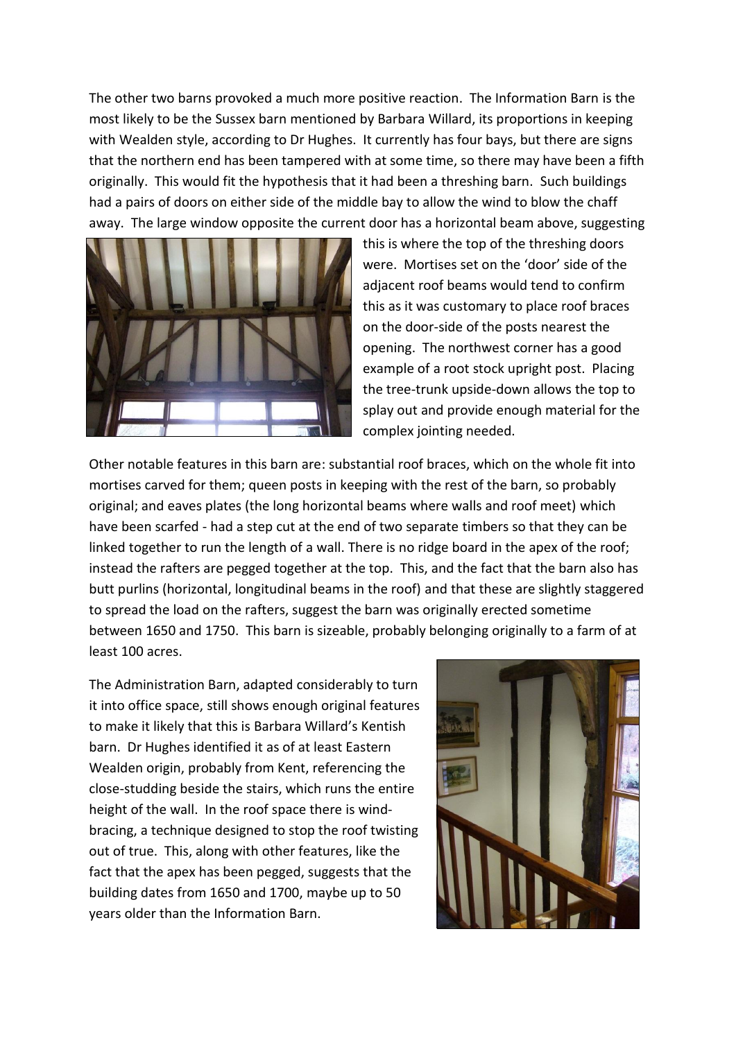The other two barns provoked a much more positive reaction. The Information Barn is the most likely to be the Sussex barn mentioned by Barbara Willard, its proportions in keeping with Wealden style, according to Dr Hughes. It currently has four bays, but there are signs that the northern end has been tampered with at some time, so there may have been a fifth originally. This would fit the hypothesis that it had been a threshing barn. Such buildings had a pairs of doors on either side of the middle bay to allow the wind to blow the chaff away. The large window opposite the current door has a horizontal beam above, suggesting



this is where the top of the threshing doors were. Mortises set on the 'door' side of the adjacent roof beams would tend to confirm this as it was customary to place roof braces on the door-side of the posts nearest the opening. The northwest corner has a good example of a root stock upright post. Placing the tree-trunk upside-down allows the top to splay out and provide enough material for the complex jointing needed.

Other notable features in this barn are: substantial roof braces, which on the whole fit into mortises carved for them; queen posts in keeping with the rest of the barn, so probably original; and eaves plates (the long horizontal beams where walls and roof meet) which have been scarfed - had a step cut at the end of two separate timbers so that they can be linked together to run the length of a wall. There is no ridge board in the apex of the roof; instead the rafters are pegged together at the top. This, and the fact that the barn also has butt purlins (horizontal, longitudinal beams in the roof) and that these are slightly staggered to spread the load on the rafters, suggest the barn was originally erected sometime between 1650 and 1750. This barn is sizeable, probably belonging originally to a farm of at least 100 acres.

The Administration Barn, adapted considerably to turn it into office space, still shows enough original features to make it likely that this is Barbara Willard's Kentish barn. Dr Hughes identified it as of at least Eastern Wealden origin, probably from Kent, referencing the close-studding beside the stairs, which runs the entire height of the wall. In the roof space there is windbracing, a technique designed to stop the roof twisting out of true. This, along with other features, like the fact that the apex has been pegged, suggests that the building dates from 1650 and 1700, maybe up to 50 years older than the Information Barn.